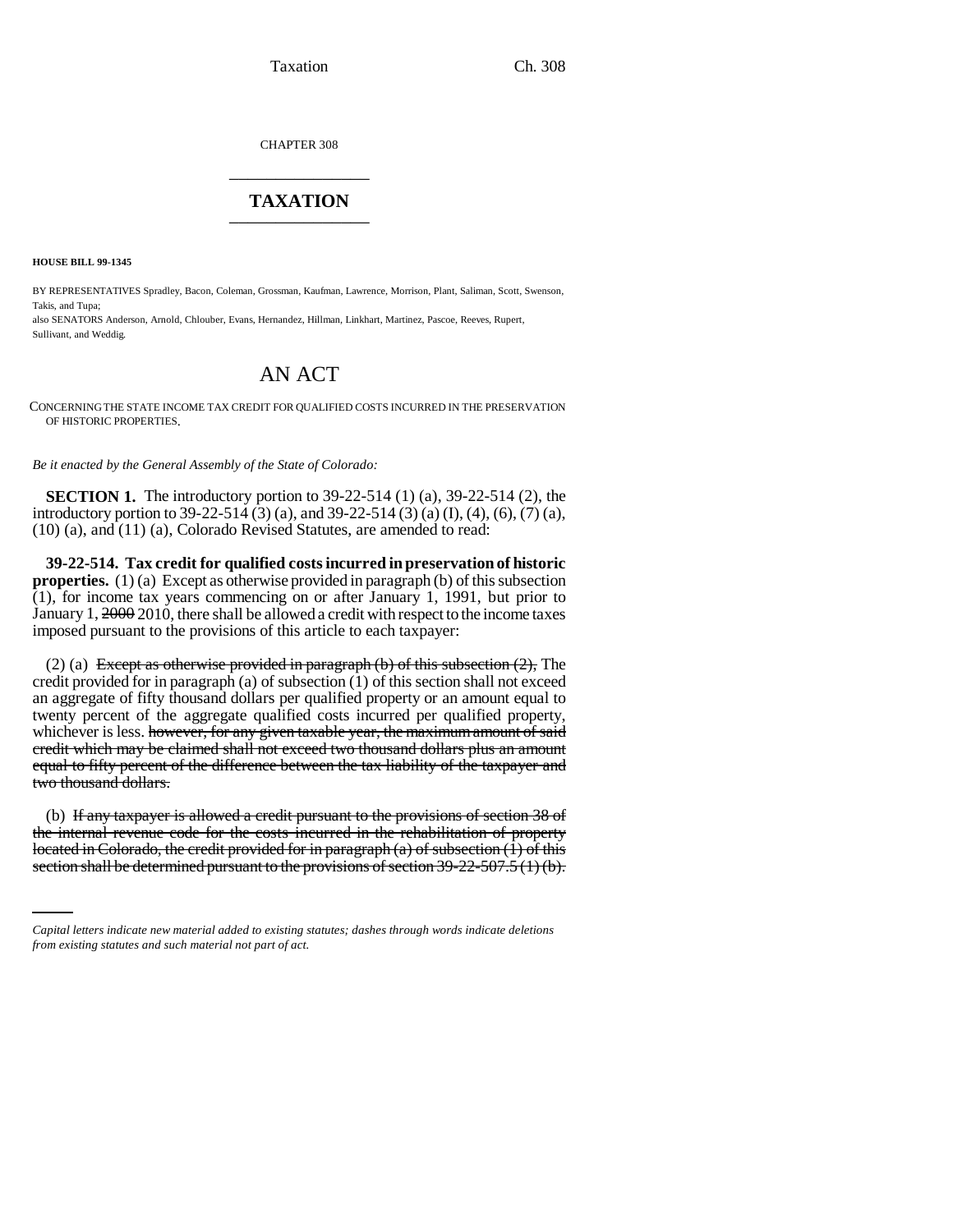CHAPTER 308 \_\_\_\_\_\_\_\_\_\_\_\_\_\_\_

## **TAXATION** \_\_\_\_\_\_\_\_\_\_\_\_\_\_\_

**HOUSE BILL 99-1345** 

BY REPRESENTATIVES Spradley, Bacon, Coleman, Grossman, Kaufman, Lawrence, Morrison, Plant, Saliman, Scott, Swenson, Takis, and Tupa;

also SENATORS Anderson, Arnold, Chlouber, Evans, Hernandez, Hillman, Linkhart, Martinez, Pascoe, Reeves, Rupert, Sullivant, and Weddig.

## AN ACT

CONCERNING THE STATE INCOME TAX CREDIT FOR QUALIFIED COSTS INCURRED IN THE PRESERVATION OF HISTORIC PROPERTIES.

*Be it enacted by the General Assembly of the State of Colorado:*

**SECTION 1.** The introductory portion to 39-22-514 (1) (a), 39-22-514 (2), the introductory portion to 39-22-514 (3) (a), and 39-22-514 (3) (a) (I), (4), (6), (7) (a), (10) (a), and (11) (a), Colorado Revised Statutes, are amended to read:

**39-22-514. Tax credit for qualified costs incurred in preservation of historic properties.** (1) (a) Except as otherwise provided in paragraph (b) of this subsection (1), for income tax years commencing on or after January 1, 1991, but prior to January 1, 2000 2010, there shall be allowed a credit with respect to the income taxes imposed pursuant to the provisions of this article to each taxpayer:

(2) (a) Except as otherwise provided in paragraph (b) of this subsection  $(2)$ , The credit provided for in paragraph (a) of subsection (1) of this section shall not exceed an aggregate of fifty thousand dollars per qualified property or an amount equal to twenty percent of the aggregate qualified costs incurred per qualified property, whichever is less. however, for any given taxable year, the maximum amount of said credit which may be claimed shall not exceed two thousand dollars plus an amount equal to fifty percent of the difference between the tax liability of the taxpayer and two thousand dollars.

the internal revenue code for the costs incurred in the rehabilitation of property (b) If any taxpayer is allowed a credit pursuant to the provisions of section 38 of located in Colorado, the credit provided for in paragraph  $(a)$  of subsection  $(1)$  of this section shall be determined pursuant to the provisions of section 39-22-507.5 (1) (b).

*Capital letters indicate new material added to existing statutes; dashes through words indicate deletions from existing statutes and such material not part of act.*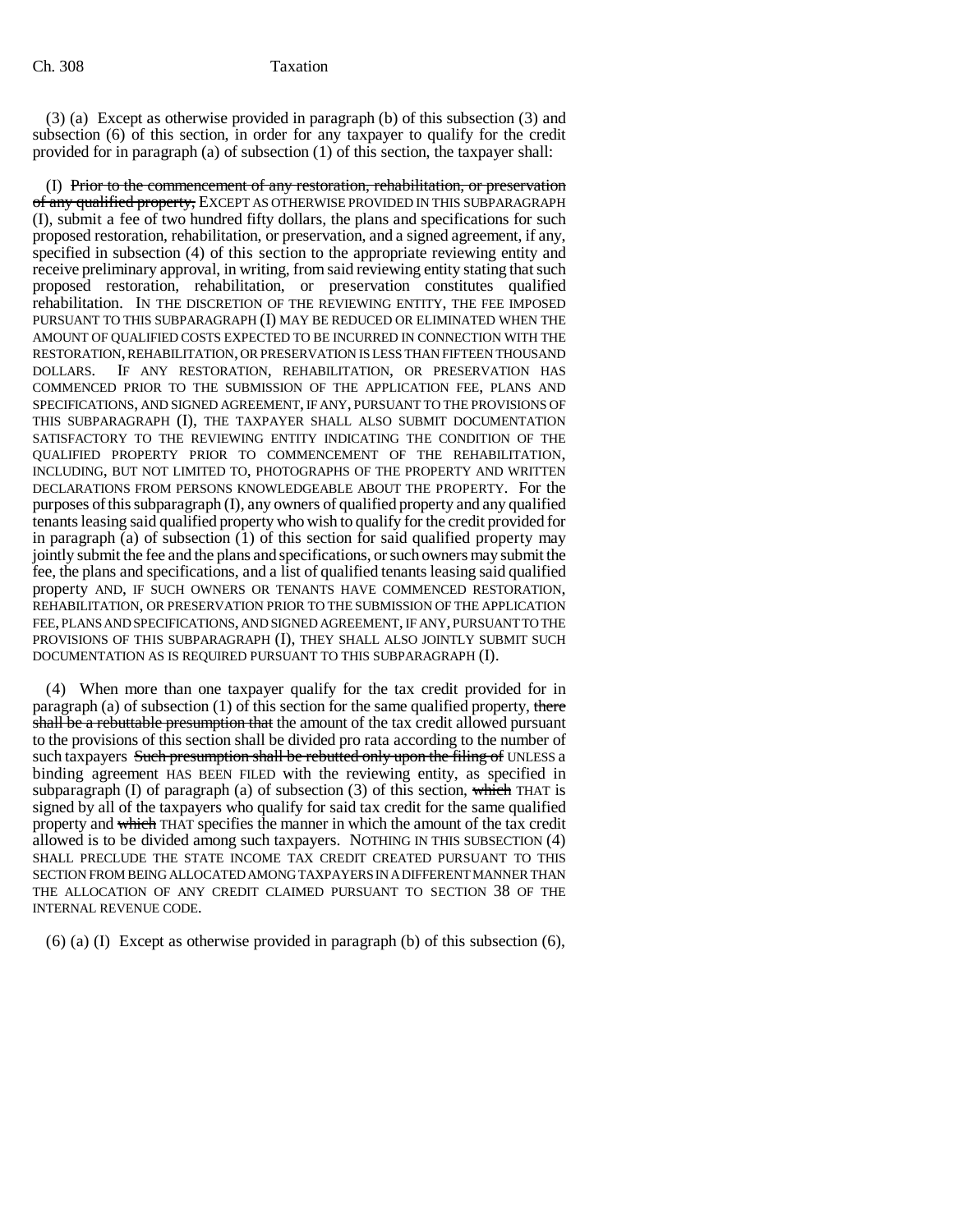## Ch. 308 Taxation

(3) (a) Except as otherwise provided in paragraph (b) of this subsection (3) and subsection (6) of this section, in order for any taxpayer to qualify for the credit provided for in paragraph (a) of subsection (1) of this section, the taxpayer shall:

(I) Prior to the commencement of any restoration, rehabilitation, or preservation of any qualified property, EXCEPT AS OTHERWISE PROVIDED IN THIS SUBPARAGRAPH (I), submit a fee of two hundred fifty dollars, the plans and specifications for such proposed restoration, rehabilitation, or preservation, and a signed agreement, if any, specified in subsection (4) of this section to the appropriate reviewing entity and receive preliminary approval, in writing, from said reviewing entity stating that such proposed restoration, rehabilitation, or preservation constitutes qualified rehabilitation. IN THE DISCRETION OF THE REVIEWING ENTITY, THE FEE IMPOSED PURSUANT TO THIS SUBPARAGRAPH (I) MAY BE REDUCED OR ELIMINATED WHEN THE AMOUNT OF QUALIFIED COSTS EXPECTED TO BE INCURRED IN CONNECTION WITH THE RESTORATION, REHABILITATION, OR PRESERVATION IS LESS THAN FIFTEEN THOUSAND DOLLARS. IF ANY RESTORATION, REHABILITATION, OR PRESERVATION HAS COMMENCED PRIOR TO THE SUBMISSION OF THE APPLICATION FEE, PLANS AND SPECIFICATIONS, AND SIGNED AGREEMENT, IF ANY, PURSUANT TO THE PROVISIONS OF THIS SUBPARAGRAPH (I), THE TAXPAYER SHALL ALSO SUBMIT DOCUMENTATION SATISFACTORY TO THE REVIEWING ENTITY INDICATING THE CONDITION OF THE QUALIFIED PROPERTY PRIOR TO COMMENCEMENT OF THE REHABILITATION, INCLUDING, BUT NOT LIMITED TO, PHOTOGRAPHS OF THE PROPERTY AND WRITTEN DECLARATIONS FROM PERSONS KNOWLEDGEABLE ABOUT THE PROPERTY. For the purposes of this subparagraph (I), any owners of qualified property and any qualified tenants leasing said qualified property who wish to qualify for the credit provided for in paragraph (a) of subsection  $(1)$  of this section for said qualified property may jointly submit the fee and the plans and specifications, or such owners may submit the fee, the plans and specifications, and a list of qualified tenants leasing said qualified property AND, IF SUCH OWNERS OR TENANTS HAVE COMMENCED RESTORATION, REHABILITATION, OR PRESERVATION PRIOR TO THE SUBMISSION OF THE APPLICATION FEE, PLANS AND SPECIFICATIONS, AND SIGNED AGREEMENT, IF ANY, PURSUANT TO THE PROVISIONS OF THIS SUBPARAGRAPH (I), THEY SHALL ALSO JOINTLY SUBMIT SUCH DOCUMENTATION AS IS REQUIRED PURSUANT TO THIS SUBPARAGRAPH (I).

(4) When more than one taxpayer qualify for the tax credit provided for in paragraph (a) of subsection (1) of this section for the same qualified property, there shall be a rebuttable presumption that the amount of the tax credit allowed pursuant to the provisions of this section shall be divided pro rata according to the number of such taxpayers Such presumption shall be rebutted only upon the filing of UNLESS a binding agreement HAS BEEN FILED with the reviewing entity, as specified in subparagraph (I) of paragraph (a) of subsection (3) of this section, which THAT is signed by all of the taxpayers who qualify for said tax credit for the same qualified property and which THAT specifies the manner in which the amount of the tax credit allowed is to be divided among such taxpayers. NOTHING IN THIS SUBSECTION (4) SHALL PRECLUDE THE STATE INCOME TAX CREDIT CREATED PURSUANT TO THIS SECTION FROM BEING ALLOCATED AMONG TAXPAYERS IN A DIFFERENT MANNER THAN THE ALLOCATION OF ANY CREDIT CLAIMED PURSUANT TO SECTION 38 OF THE INTERNAL REVENUE CODE.

(6) (a) (I) Except as otherwise provided in paragraph (b) of this subsection (6),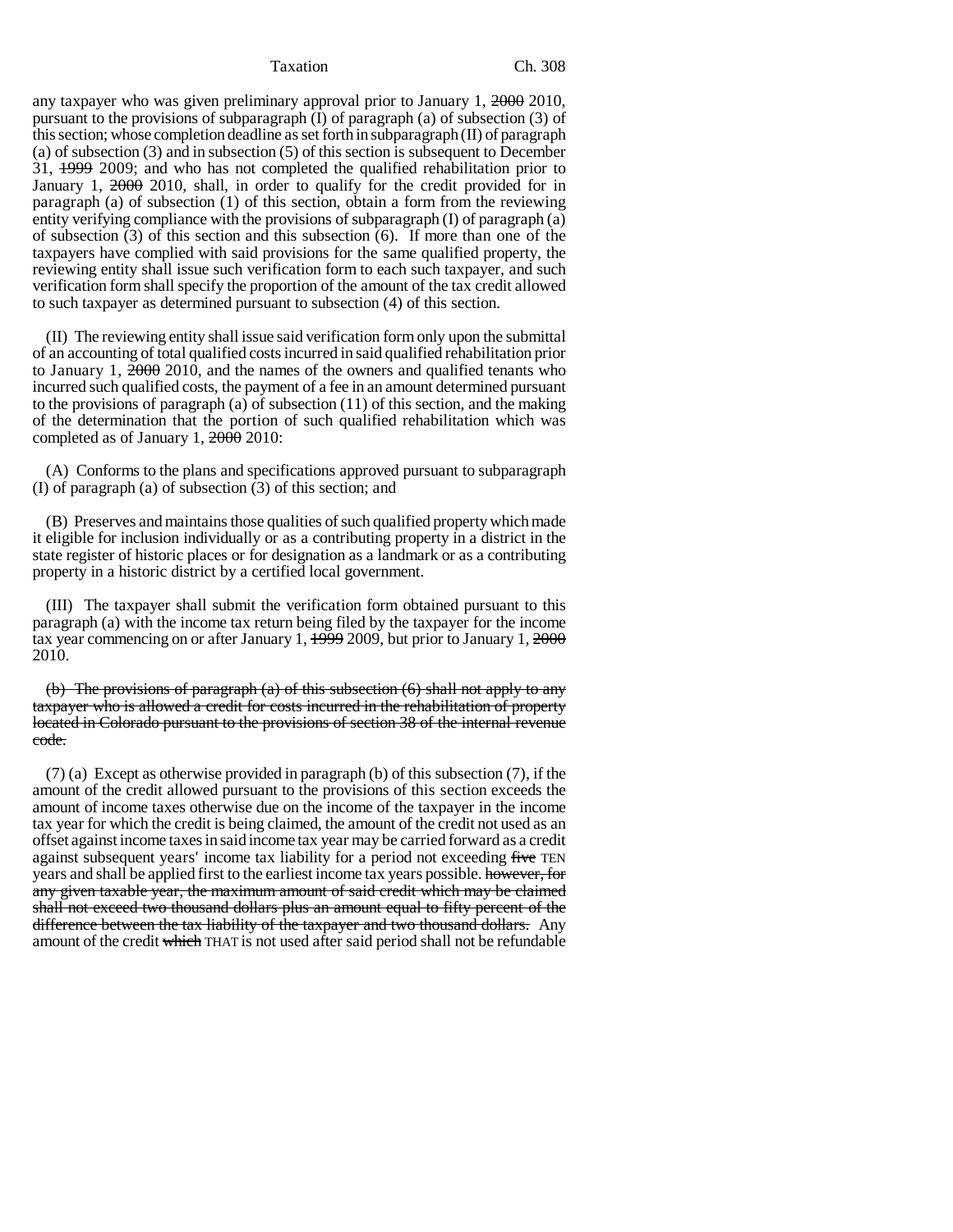## Taxation Ch. 308

any taxpayer who was given preliminary approval prior to January 1, 2000 2010, pursuant to the provisions of subparagraph (I) of paragraph (a) of subsection (3) of this section; whose completion deadline as set forth in subparagraph (II) of paragraph (a) of subsection (3) and in subsection (5) of this section is subsequent to December 31, 1999 2009; and who has not completed the qualified rehabilitation prior to January 1, 2000 2010, shall, in order to qualify for the credit provided for in paragraph (a) of subsection (1) of this section, obtain a form from the reviewing entity verifying compliance with the provisions of subparagraph (I) of paragraph (a) of subsection (3) of this section and this subsection (6). If more than one of the taxpayers have complied with said provisions for the same qualified property, the reviewing entity shall issue such verification form to each such taxpayer, and such verification form shall specify the proportion of the amount of the tax credit allowed to such taxpayer as determined pursuant to subsection (4) of this section.

(II) The reviewing entity shall issue said verification form only upon the submittal of an accounting of total qualified costs incurred in said qualified rehabilitation prior to January 1, 2000 2010, and the names of the owners and qualified tenants who incurred such qualified costs, the payment of a fee in an amount determined pursuant to the provisions of paragraph (a) of subsection (11) of this section, and the making of the determination that the portion of such qualified rehabilitation which was completed as of January 1, 2000 2010:

(A) Conforms to the plans and specifications approved pursuant to subparagraph (I) of paragraph (a) of subsection (3) of this section; and

(B) Preserves and maintains those qualities of such qualified property which made it eligible for inclusion individually or as a contributing property in a district in the state register of historic places or for designation as a landmark or as a contributing property in a historic district by a certified local government.

(III) The taxpayer shall submit the verification form obtained pursuant to this paragraph (a) with the income tax return being filed by the taxpayer for the income tax year commencing on or after January 1, 1999 2009, but prior to January 1, 2000 2010.

(b) The provisions of paragraph (a) of this subsection (6) shall not apply to any taxpayer who is allowed a credit for costs incurred in the rehabilitation of property located in Colorado pursuant to the provisions of section 38 of the internal revenue code.

(7) (a) Except as otherwise provided in paragraph (b) of this subsection (7), if the amount of the credit allowed pursuant to the provisions of this section exceeds the amount of income taxes otherwise due on the income of the taxpayer in the income tax year for which the credit is being claimed, the amount of the credit not used as an offset against income taxes in said income tax year may be carried forward as a credit against subsequent years' income tax liability for a period not exceeding five TEN years and shall be applied first to the earliest income tax years possible. however, for any given taxable year, the maximum amount of said credit which may be claimed shall not exceed two thousand dollars plus an amount equal to fifty percent of the difference between the tax liability of the taxpayer and two thousand dollars. Any amount of the credit which THAT is not used after said period shall not be refundable